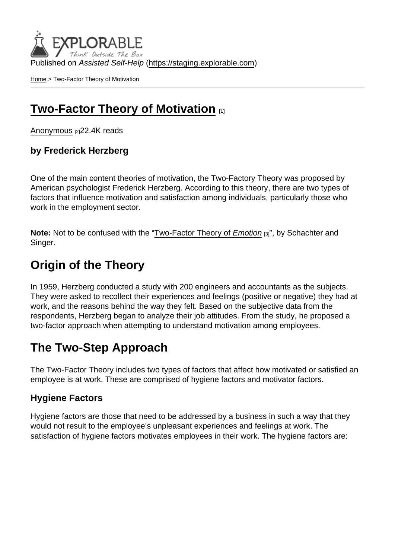Published on Assisted Self-Help [\(https://staging.explorable.com](https://staging.explorable.com))

[Home](https://staging.explorable.com/en) > Two-Factor Theory of Motivation

## [Two-Factor Theory of Motivation](https://staging.explorable.com/en/two-factor-theory-of-motivation)  $_{11}$

[Anonymous](https://staging.explorable.com/en/users/sarah) [2] 22.4K reads

by Frederick Herzberg

One of the main content theories of motivation, the Two-Factory Theory was proposed by American psychologist Frederick Herzberg. According to this theory, there are two types of factors that influence motivation and satisfaction among individuals, particularly those who work in the employment sector.

Note: Not to be confused with the "[Two-Factor Theory of Emotion](https://staging.explorable.com/schachter-singer-theory-of-emotion) [3]", by Schachter and Singer.

## Origin of the Theory

In 1959, Herzberg conducted a study with 200 engineers and accountants as the subjects. They were asked to recollect their experiences and feelings (positive or negative) they had at work, and the reasons behind the way they felt. Based on the subjective data from the respondents, Herzberg began to analyze their job attitudes. From the study, he proposed a two-factor approach when attempting to understand motivation among employees.

## The Two-Step Approach

The Two-Factor Theory includes two types of factors that affect how motivated or satisfied an employee is at work. These are comprised of hygiene factors and motivator factors.

#### Hygiene Factors

Hygiene factors are those that need to be addressed by a business in such a way that they would not result to the employee's unpleasant experiences and feelings at work. The satisfaction of hygiene factors motivates employees in their work. The hygiene factors are: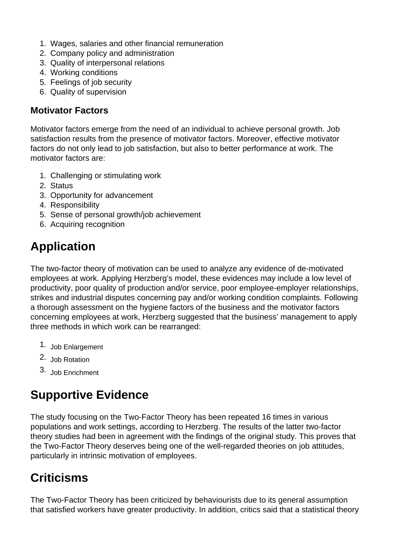- 1. Wages, salaries and other financial remuneration
- 2. Company policy and administration
- 3. Quality of interpersonal relations
- 4. Working conditions
- 5. Feelings of job security
- 6. Quality of supervision

### **Motivator Factors**

Motivator factors emerge from the need of an individual to achieve personal growth. Job satisfaction results from the presence of motivator factors. Moreover, effective motivator factors do not only lead to job satisfaction, but also to better performance at work. The motivator factors are:

- 1. Challenging or stimulating work
- 2. Status
- 3. Opportunity for advancement
- 4. Responsibility
- 5. Sense of personal growth/job achievement
- 6. Acquiring recognition

# **Application**

The two-factor theory of motivation can be used to analyze any evidence of de-motivated employees at work. Applying Herzberg's model, these evidences may include a low level of productivity, poor quality of production and/or service, poor employee-employer relationships, strikes and industrial disputes concerning pay and/or working condition complaints. Following a thorough assessment on the hygiene factors of the business and the motivator factors concerning employees at work, Herzberg suggested that the business' management to apply three methods in which work can be rearranged:

- 1. Job Enlargement
- 2. Job Rotation
- 3. Job Enrichment

# **Supportive Evidence**

The study focusing on the Two-Factor Theory has been repeated 16 times in various populations and work settings, according to Herzberg. The results of the latter two-factor theory studies had been in agreement with the findings of the original study. This proves that the Two-Factor Theory deserves being one of the well-regarded theories on job attitudes, particularly in intrinsic motivation of employees.

# **Criticisms**

The Two-Factor Theory has been criticized by behaviourists due to its general assumption that satisfied workers have greater productivity. In addition, critics said that a statistical theory